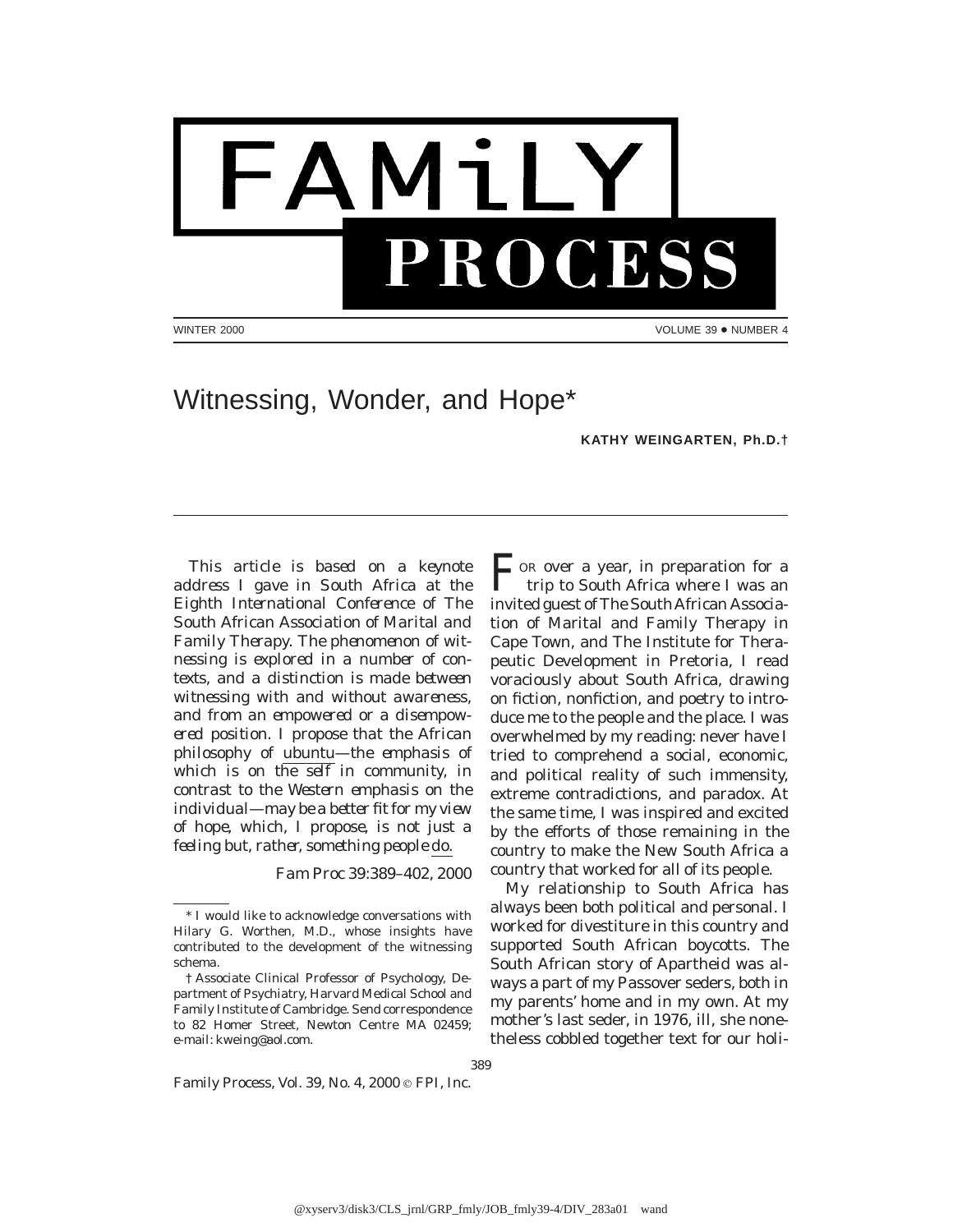

## Witnessing, Wonder, and Hope\*

**KATHY WEINGARTEN, Ph.D.†**

*This article is based on a keynote address I gave in South Africa at the Eighth International Conference of The South African Association of Marital and Family Therapy. The phenomenon of witnessing is explored in a number of contexts, and a distinction is made between witnessing with and without awareness, and from an empowered or a disempowered position. I propose that the African philosophy of ubuntu—the emphasis of which is on the self in community, in contrast to the Western emphasis on the individual—may be a better fit for my view of hope, which, I propose, is not just a feeling but, rather, something people do.*

*Fam Proc 39:389–402, 2000*

For over a year, in preparation for a<br>trip to South Africa where I was an invited guest of The SouthAfrican Association of Marital and Family Therapy in Cape Town, and The Institute for Therapeutic Development in Pretoria, I read voraciously about South Africa, drawing on fiction, nonfiction, and poetry to introduce me to the people and the place. I was overwhelmed by my reading: never have I tried to comprehend a social, economic, and political reality of such immensity, extreme contradictions, and paradox. At the same time, I was inspired and excited by the efforts of those remaining in the country to make the New South Africa a country that worked for all of its people.

My relationship to South Africa has always been both political and personal. I worked for divestiture in this country and supported South African boycotts. The South African story of Apartheid was always a part of my Passover seders, both in my parents' home and in my own. At my mother's last seder, in 1976, ill, she nonetheless cobbled together text for our holi-

<sup>\*</sup> I would like to acknowledge conversations with Hilary G. Worthen, M.D., whose insights have contributed to the development of the witnessing schema.

<sup>†</sup> Associate Clinical Professor of Psychology, Department of Psychiatry, Harvard Medical School and Family Institute of Cambridge. Send correspondence to 82 Homer Street, Newton Centre MA 02459; e-mail: kweing@aol.com.

Family Process, Vol. 39, No. 4, 2000  $\odot$  FPI, Inc.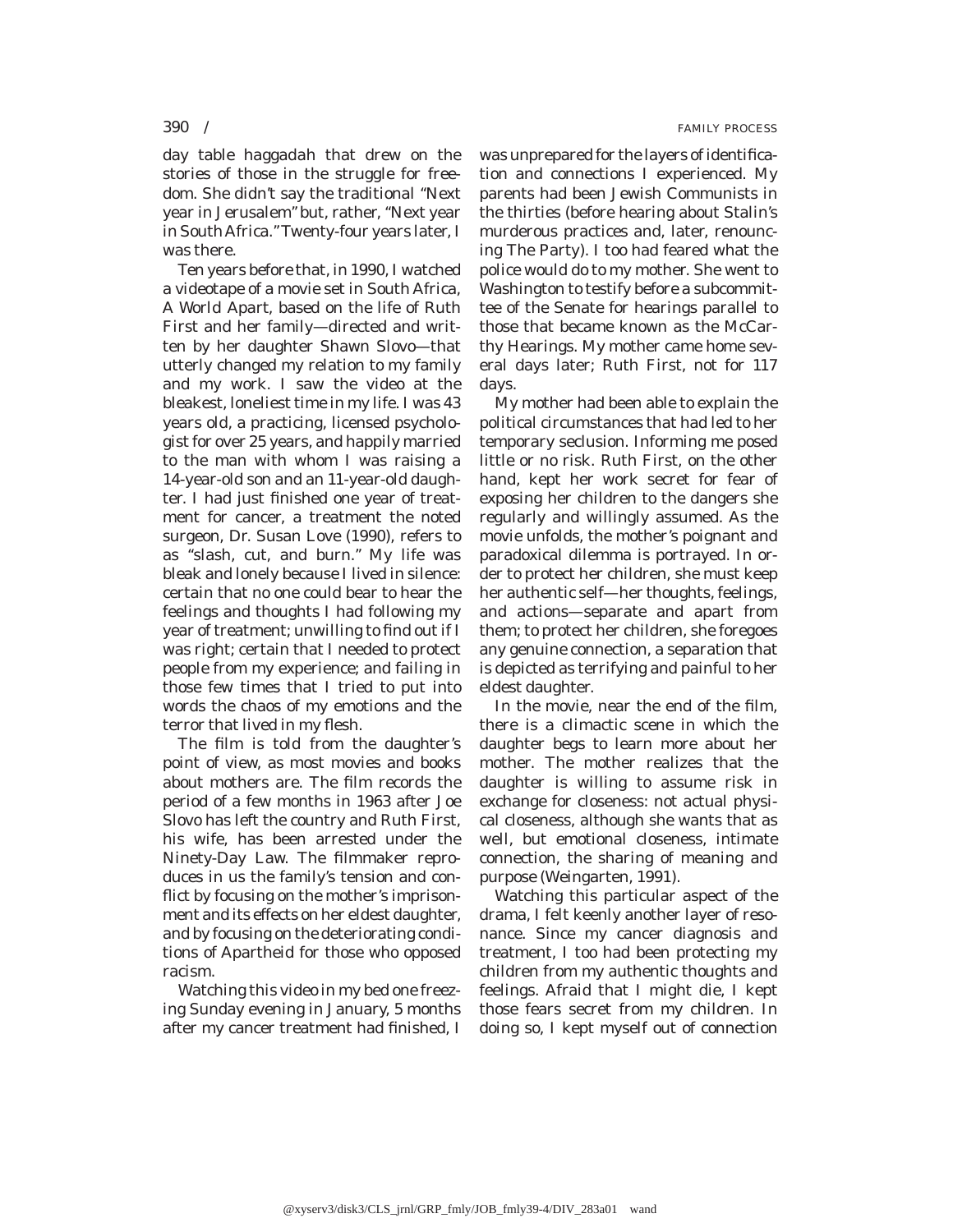day table *haggadah* that drew on the stories of those in the struggle for freedom. She didn't say the traditional ''Next year in Jerusalem'' but, rather, ''Next year in South Africa.'' Twenty-four years later, I was there.

Ten years before that, in 1990, I watched a videotape of a movie set in South Africa, *A World Apart,* based on the life of Ruth First and her family—directed and written by her daughter Shawn Slovo—that utterly changed my relation to my family and my work. I saw the video at the bleakest, loneliest time in my life. I was 43 years old, a practicing, licensed psychologist for over 25 years, and happily married to the man with whom I was raising a 14-year-old son and an 11-year-old daughter. I had just finished one year of treatment for cancer, a treatment the noted surgeon, Dr. Susan Love (1990), refers to as ''slash, cut, and burn.'' My life was bleak and lonely because I lived in silence: certain that no one could bear to hear the feelings and thoughts I had following my year of treatment; unwilling to find out if I was right; certain that I needed to protect people from my experience; and failing in those few times that I tried to put into words the chaos of my emotions and the terror that lived in my flesh.

The film is told from the daughter's point of view, as most movies and books about mothers are. The film records the period of a few months in 1963 after Joe Slovo has left the country and Ruth First, his wife, has been arrested under the Ninety-Day Law. The filmmaker reproduces in us the family's tension and conflict by focusing on the mother's imprisonment and its effects on her eldest daughter, and by focusing on the deteriorating conditions of Apartheid for those who opposed racism.

Watching this video in my bed one freezing Sunday evening in January, 5 months after my cancer treatment had finished, I

was unprepared for the layers of identification and connections I experienced. My parents had been Jewish Communists in the thirties (before hearing about Stalin's murderous practices and, later, renouncing The Party). I too had feared what the police would do to my mother. She went to Washington to testify before a subcommittee of the Senate for hearings parallel to those that became known as the McCarthy Hearings. *My* mother came home several days later; Ruth First, not for 117 days.

My mother had been able to explain the political circumstances that had led to her temporary seclusion. Informing me posed little or no risk. Ruth First, on the other hand, kept her work secret for fear of exposing her children to the dangers she regularly and willingly assumed. As the movie unfolds, the mother's poignant and paradoxical dilemma is portrayed. In order to protect her children, she must keep her authentic self—her thoughts, feelings, and actions—separate and apart from them; to protect her children, she foregoes any genuine connection, a separation that is depicted as terrifying and painful to her eldest daughter.

In the movie, near the end of the film, there is a climactic scene in which the daughter begs to learn more about her mother. The mother realizes that the daughter is willing to assume risk in exchange for closeness: not actual physical closeness, although she wants that as well, but emotional closeness, intimate connection, the sharing of meaning and purpose (Weingarten, 1991).

Watching this particular aspect of the drama, I felt keenly another layer of resonance. Since my cancer diagnosis and treatment, I too had been protecting my children from my authentic thoughts and feelings. Afraid that I might die, I kept those fears secret from my children. In doing so, I kept myself out of connection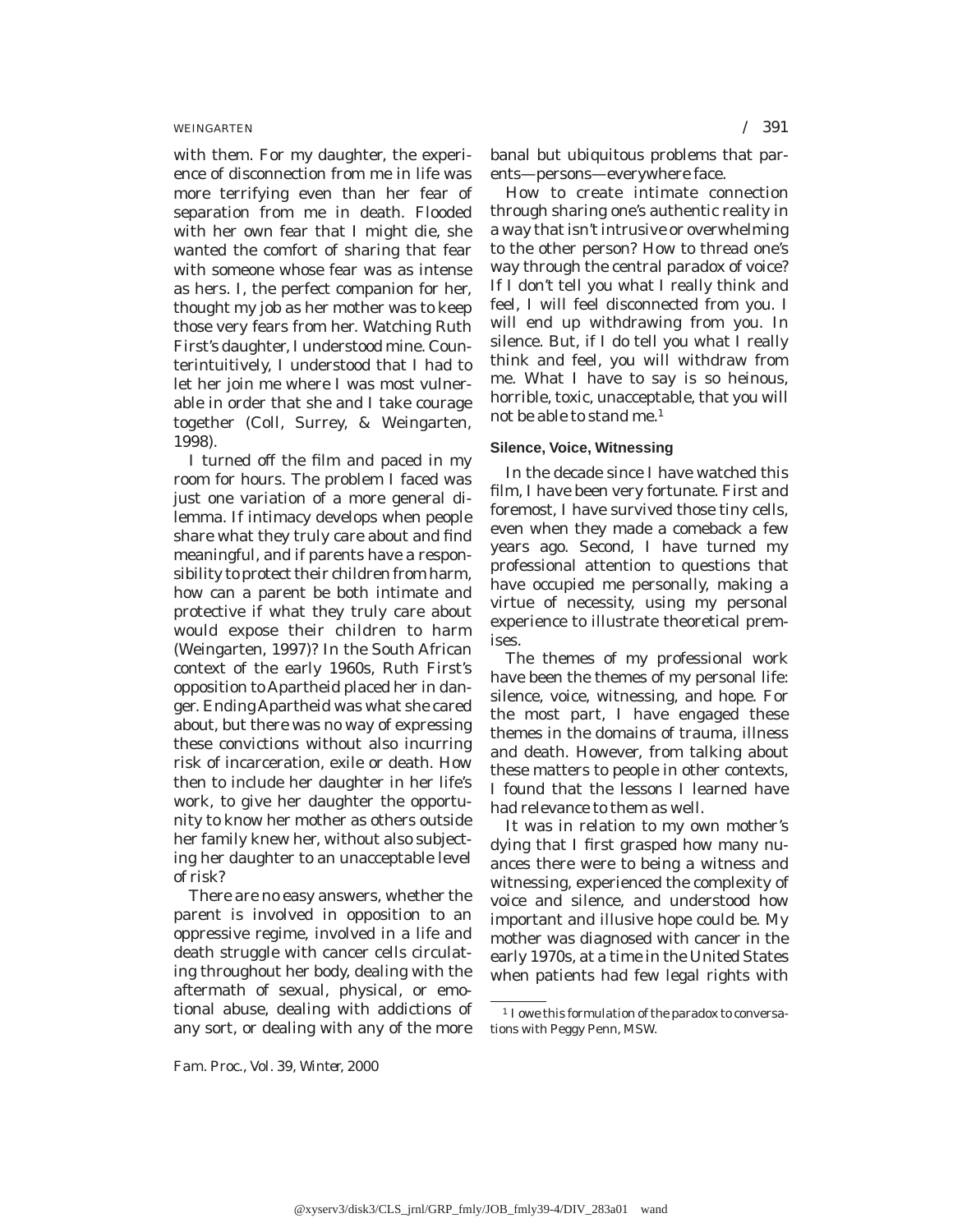with them. For *my* daughter, the experience of disconnection from me in life was more terrifying even than her fear of separation from me in death. Flooded with her own fear that I might die, she wanted the comfort of sharing that fear with someone whose fear was as intense as hers. I, the perfect companion for her, thought my job as her mother was to keep those very fears from her. Watching Ruth First's daughter, I understood mine. Counterintuitively, I understood that I had to let her join me where I was most vulnerable in order that she and I take courage together (Coll, Surrey, & Weingarten, 1998).

I turned off the film and paced in my room for hours. The problem I faced was just one variation of a more general dilemma. If intimacy develops when people share what they truly care about and find meaningful, and if parents have a responsibility to protect their children from harm, how can a parent be both intimate and protective if what they truly care about would expose their children to harm (Weingarten, 1997)? In the South African context of the early 1960s, Ruth First's opposition to Apartheid placed her in danger. Ending Apartheid was what she cared about, but there was no way of expressing these convictions without also incurring risk of incarceration, exile or death. How then to include her daughter in her life's work, to give her daughter the opportunity to know her mother as others outside her family knew her, without also subjecting her daughter to an unacceptable level of risk?

There are no easy answers, whether the parent is involved in opposition to an oppressive regime, involved in a life and death struggle with cancer cells circulating throughout her body, dealing with the aftermath of sexual, physical, or emotional abuse, dealing with addictions of any sort, or dealing with any of the more banal but ubiquitous problems that parents—persons—everywhere face.

How to create intimate connection through sharing one's authentic reality in a way that isn't intrusive or overwhelming to the other person? How to thread one's way through the central paradox of voice? If I don't tell you what I really think and feel, I will feel disconnected from you. I will end up withdrawing from you. In silence. But, if I do tell you what I really think and feel, you will withdraw from me. What I have to say is so heinous, horrible, toxic, unacceptable, that you will not be able to stand me.1

### **Silence, Voice, Witnessing**

In the decade since I have watched this film, I have been very fortunate. First and foremost, I have survived those tiny cells, even when they made a comeback a few years ago. Second, I have turned my professional attention to questions that have occupied me personally, making a virtue of necessity, using my personal experience to illustrate theoretical premises.

The themes of my professional work have been the themes of my personal life: silence, voice, witnessing, and hope. For the most part, I have engaged these themes in the domains of trauma, illness and death. However, from talking about these matters to people in other contexts, I found that the lessons I learned have had relevance to them as well.

It was in relation to my own mother's dying that I first grasped how many nuances there were to being a witness and witnessing, experienced the complexity of voice and silence, and understood how important and illusive hope could be. My mother was diagnosed with cancer in the early 1970s, at a time in the United States when patients had few legal rights with

<sup>&</sup>lt;sup>1</sup> I owe this formulation of the paradox to conversations with Peggy Penn, MSW.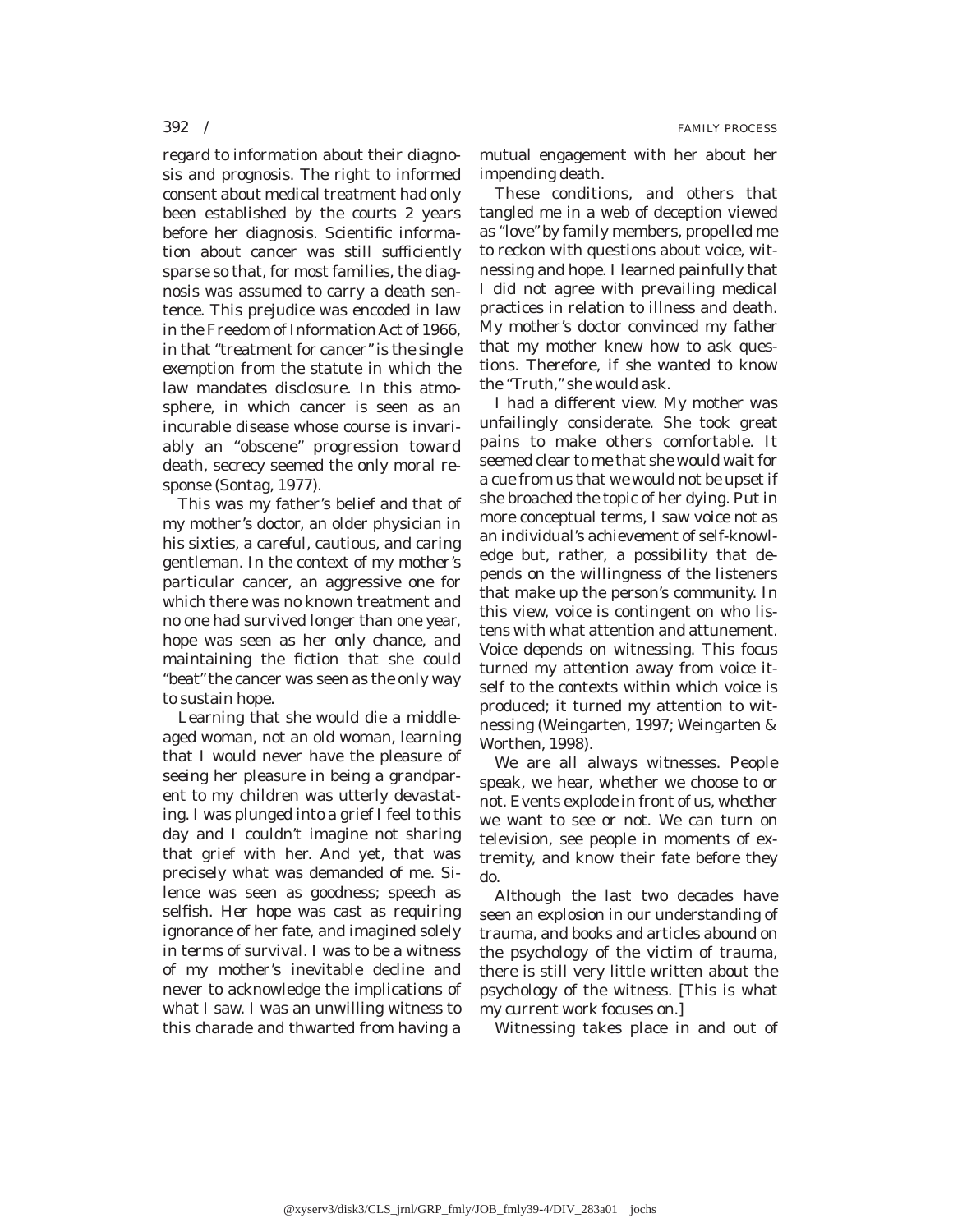regard to information about their diagnosis and prognosis. The right to informed consent about medical treatment had only been established by the courts 2 years before her diagnosis. Scientific information about cancer was still sufficiently sparse so that, for most families, the diagnosis was assumed to carry a death sentence. This prejudice was encoded in law in the Freedom of Information Act of 1966, in that ''treatment for cancer'' is the *single exemption* from the statute in which the law mandates disclosure. In this atmosphere, in which cancer is seen as an incurable disease whose course is invariably an ''obscene'' progression toward death, secrecy seemed the only moral response (Sontag, 1977).

This was my father's belief and that of my mother's doctor, an older physician in his sixties, a careful, cautious, and caring gentleman. In the context of my mother's particular cancer, an aggressive one for which there was no known treatment and no one had survived longer than one year, hope was seen as her only chance, and maintaining the fiction that she could "beat" the cancer was seen as the only way to sustain hope.

Learning that she would die a middleaged woman, not an old woman, learning that I would never have the pleasure of seeing her pleasure in being a grandparent to my children was utterly devastating. I was plunged into a grief I feel to this day and I couldn't imagine not sharing that grief with her. And yet, that was precisely what was demanded of me. Silence was seen as goodness; speech as selfish. Her hope was cast as requiring ignorance of her fate, and imagined solely in terms of survival. I was to be a witness of my mother's inevitable decline and never to acknowledge the implications of what I saw. I was an unwilling witness to this charade and thwarted from having a

mutual engagement with her about her impending death.

These conditions, and others that tangled me in a web of deception viewed as ''love'' by family members, propelled me to reckon with questions about voice, witnessing and hope. I learned painfully that I did not agree with prevailing medical practices in relation to illness and death. My mother's doctor convinced my father that my mother knew how to ask questions. Therefore, if she wanted to know the ''Truth,'' she would ask.

I had a different view. My mother was unfailingly considerate. She took great pains to make others comfortable. It seemed clear to me that she would wait for a cue from us that *we* would not be upset if she broached the topic of her dying. Put in more conceptual terms, I saw voice not as an individual's achievement of self-knowledge but, rather, a possibility that depends on the willingness of the listeners that make up the person's community. In this view, voice is contingent on who listens with what attention and attunement. Voice depends on witnessing. This focus turned my attention away from voice itself to the contexts within which voice is produced; it turned my attention to witnessing (Weingarten, 1997; Weingarten & Worthen, 1998).

We are all always witnesses. People speak, we hear, whether we choose to or not. Events explode in front of us, whether we want to see or not. We can turn on television, see people in moments of extremity, and know their fate before they do.

Although the last two decades have seen an explosion in our understanding of trauma, and books and articles abound on the psychology of the victim of trauma, there is still very little written about the psychology of the witness. [This is what my current work focuses on.]

Witnessing takes place in and out of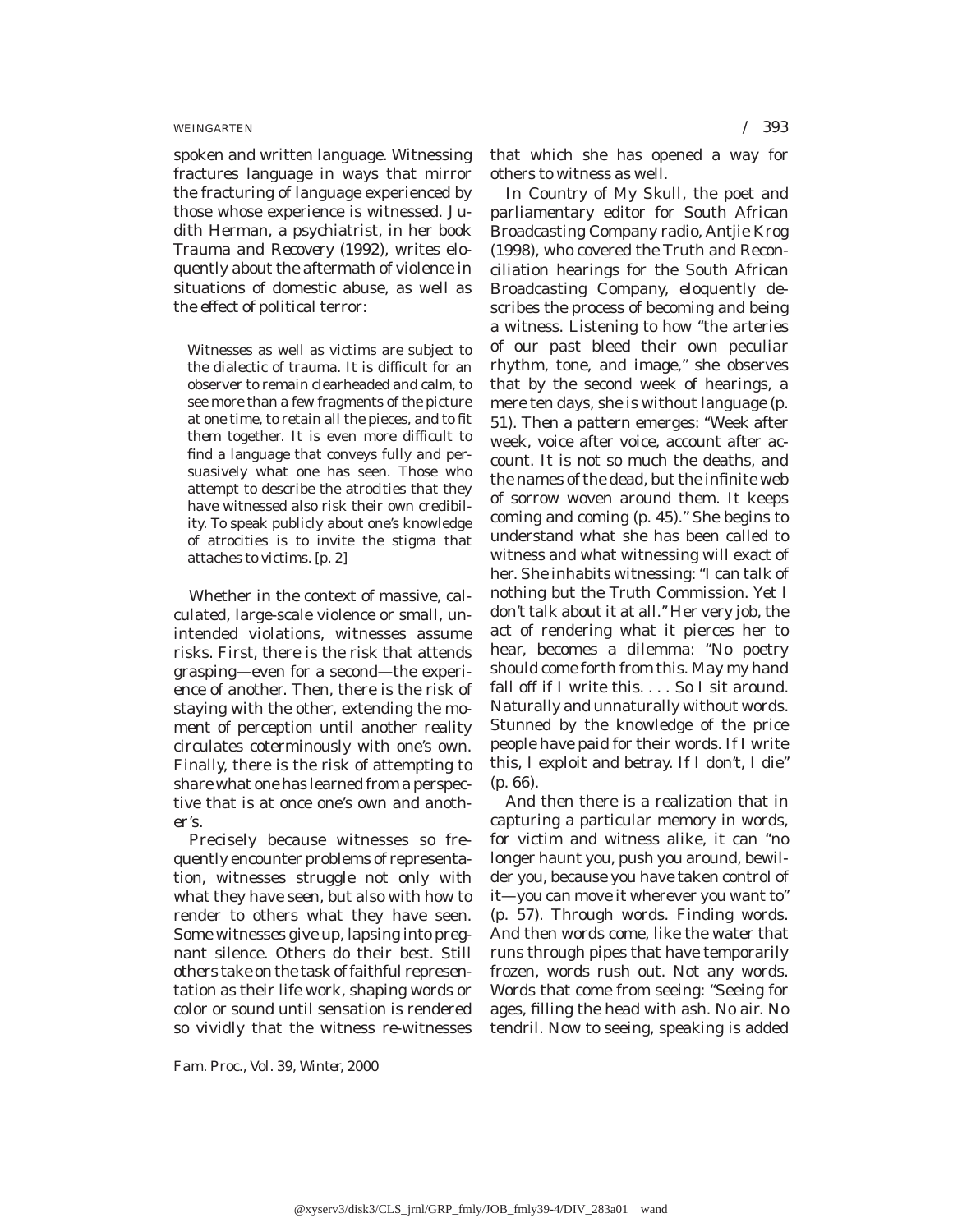spoken and written language. Witnessing fractures language in ways that mirror the fracturing of language experienced by those whose experience is witnessed. Judith Herman, a psychiatrist, in her book *Trauma and Recovery* (1992), writes eloquently about the aftermath of violence in situations of domestic abuse, as well as the effect of political terror:

Witnesses as well as victims are subject to the dialectic of trauma. It is difficult for an observer to remain clearheaded and calm, to see more than a few fragments of the picture at one time, to retain all the pieces, and to fit them together. It is even more difficult to find a language that conveys fully and persuasively what one has seen. Those who attempt to describe the atrocities that they have witnessed also risk their own credibility. To speak publicly about one's knowledge of atrocities is to invite the stigma that attaches to victims. [p. 2]

Whether in the context of massive, calculated, large-scale violence or small, unintended violations, witnesses assume risks. First, there is the risk that attends grasping—even for a second—the experience of another. Then, there is the risk of staying with the other, extending the moment of perception until another reality circulates coterminously with one's own. Finally, there is the risk of attempting to share what one has learned from a perspective that is at once one's own and another's.

Precisely because witnesses so frequently encounter problems of representation, witnesses struggle not only with what they have seen, but also with how to render to others what they have seen. Some witnesses give up, lapsing into pregnant silence. Others do their best. Still others take on the task of faithful representation as their life work, shaping words or color or sound until sensation is rendered so vividly that the witness re-witnesses

*Fam. Proc., Vol. 39, Winter, 2000*

that which she has opened a way for others to witness as well.

In *Country of My Skull,* the poet and parliamentary editor for South African Broadcasting Company radio, Antjie Krog (1998), who covered the Truth and Reconciliation hearings for the South African Broadcasting Company, eloquently describes the process of becoming and being a witness. Listening to how ''the arteries of our past bleed their own peculiar rhythm, tone, and image,'' she observes that by the second week of hearings, a mere ten days, she is without language (p. 51). Then a pattern emerges: ''Week after week, voice after voice, account after account. It is not so much the deaths, and the names of the dead, but the infinite web of sorrow woven around them. It keeps coming and coming (p. 45).'' She begins to understand what she has been called to witness and what witnessing will exact of her. She inhabits witnessing: ''I can talk of nothing but the Truth Commission. Yet I don't talk about it at all.'' Her very job, the act of rendering what it pierces her to hear, becomes a dilemma: ''No poetry should come forth from this. May my hand fall off if I write this. . . . So I sit around. Naturally and unnaturally without words. Stunned by the knowledge of the price people have paid for their words. If I write this, I exploit and betray. If I don't, I die'' (p. 66).

And then there is a realization that in capturing a particular memory in words, for victim and witness alike, it can ''no longer haunt you, push you around, bewilder you, because you have taken control of it—you can move it wherever you want to'' (p. 57). Through words. Finding words. And then words come, like the water that runs through pipes that have temporarily frozen, words rush out. Not any words. Words that come from seeing: ''Seeing for ages, filling the head with ash. No air. No tendril. Now to seeing, speaking is added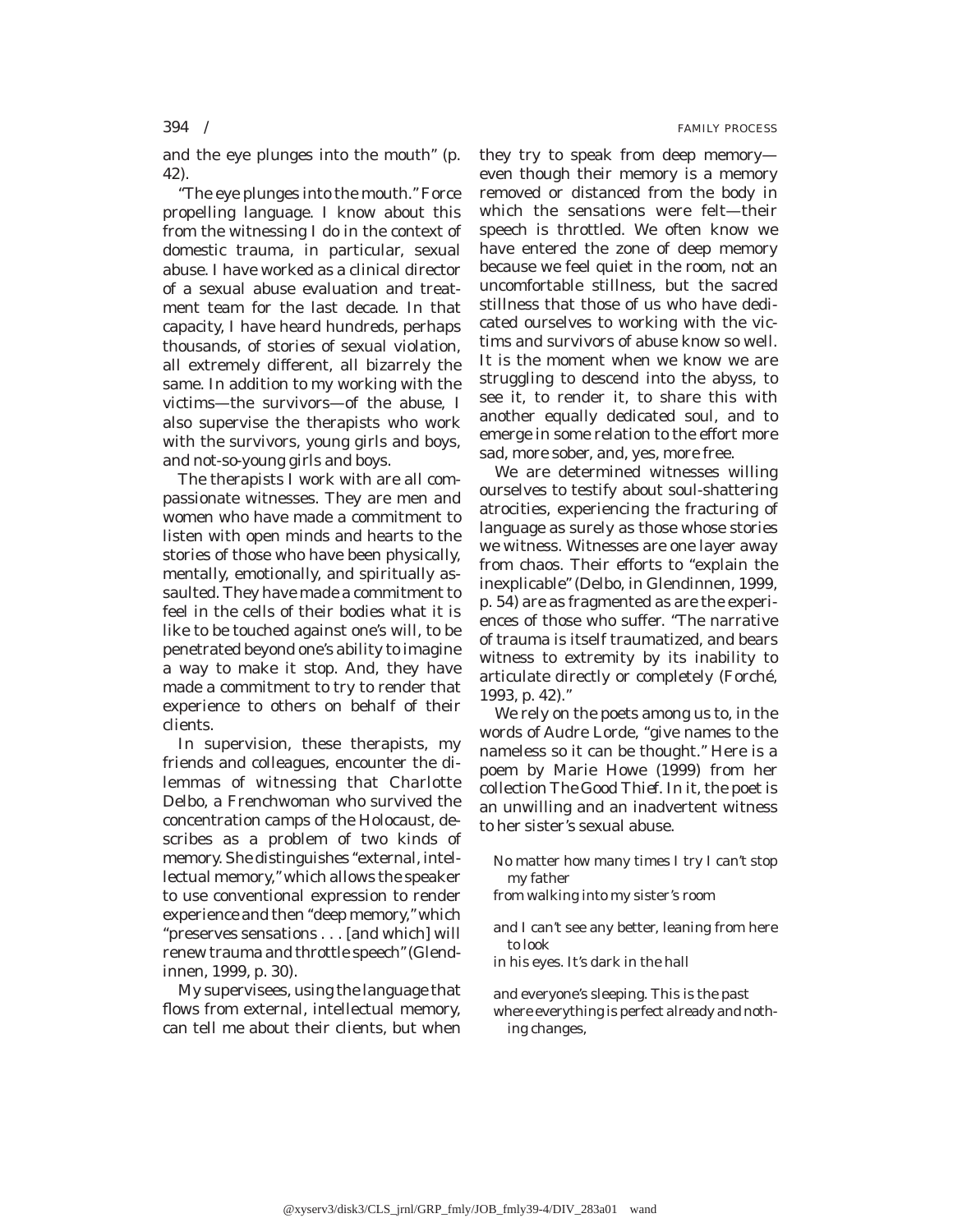and the eye plunges into the mouth'' (p. 42).

''The eye plunges into the mouth.'' Force propelling language. I know about this from the witnessing I do in the context of domestic trauma, in particular, sexual abuse. I have worked as a clinical director of a sexual abuse evaluation and treatment team for the last decade. In that capacity, I have heard hundreds, perhaps thousands, of stories of sexual violation, all extremely different, all bizarrely the same. In addition to my working with the victims—the survivors—of the abuse, I also supervise the therapists who work with the survivors, young girls and boys, and not-so-young girls and boys.

The therapists I work with are all compassionate witnesses. They are men and women who have made a commitment to listen with open minds and hearts to the stories of those who have been physically, mentally, emotionally, and spiritually assaulted. They have made a commitment to feel in the cells of their bodies what it is like to be touched against one's will, to be penetrated beyond one's ability to imagine a way to make it stop. And, they have made a commitment to try to render that experience to others on behalf of their clients.

In supervision, these therapists, my friends and colleagues, encounter the dilemmas of witnessing that Charlotte Delbo, a Frenchwoman who survived the concentration camps of the Holocaust, describes as a problem of two kinds of memory. She distinguishes "external, intellectual memory,'' which allows the speaker to use conventional expression to render experience and then ''deep memory,''which ''preserves sensations . . . [and which] will renew trauma and throttle speech''(Glendinnen, 1999, p. 30).

My supervisees, using the language that flows from external, intellectual memory, can tell me about their clients, but when they try to speak from deep memory even though their memory is a memory removed or distanced from the body in which the sensations were felt—their speech is throttled. We often know we have entered the zone of deep memory because we feel quiet in the room, not an uncomfortable stillness, but the sacred stillness that those of us who have dedicated ourselves to working with the victims and survivors of abuse know so well. It is the moment when we know we are struggling to descend into the abyss, to see it, to render it, to share this with another equally dedicated soul, and to emerge in some relation to the effort more sad, more sober, and, yes, more free.

We are determined witnesses willing ourselves to testify about soul-shattering atrocities, experiencing the fracturing of language as surely as those whose stories we witness. Witnesses are one layer away from chaos. Their efforts to "explain the inexplicable'' (Delbo, in Glendinnen, 1999, p. 54) are as fragmented as are the experiences of those who suffer. ''The narrative of trauma is itself traumatized, and bears witness to extremity by its inability to articulate directly or completely (Forché, 1993, p. 42).''

We rely on the poets among us to, in the words of Audre Lorde, ''give names to the nameless so it can be thought.'' Here is a poem by Marie Howe (1999) from her collection *The Good Thief.* In it, the poet is an unwilling and an inadvertent witness to her sister's sexual abuse.

No matter how many times I try I can't stop my father

from walking into my sister's room

and I can't see any better, leaning from here to look

in his eyes. It's dark in the hall

and everyone's sleeping. This is the past where everything is perfect already and nothing changes,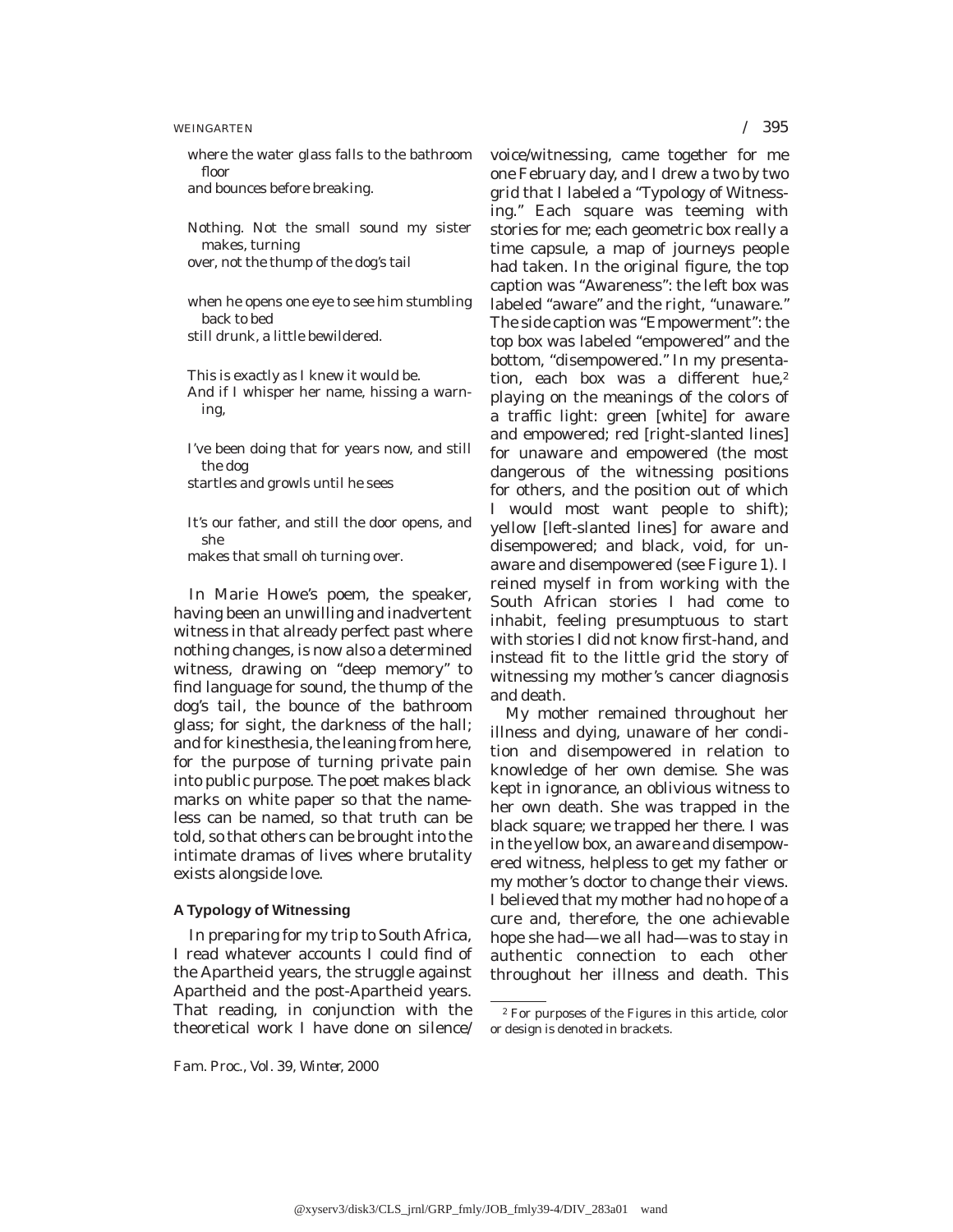where the water glass falls to the bathroom floor

and bounces before breaking.

Nothing. Not the small sound my sister makes, turning over, not the thump of the dog's tail

when he opens one eye to see him stumbling back to bed still drunk, a little bewildered.

This is exactly as I knew it would be.

And if I whisper her name, hissing a warning,

I've been doing that for years now, and still the dog

startles and growls until he sees

It's our father, and still the door opens, and she

makes that small *oh* turning over.

In Marie Howe's poem, the speaker, having been an unwilling and inadvertent witness in that already perfect past where nothing changes, is now also a determined witness, drawing on "deep memory" to find language for sound, the thump of the dog's tail, the bounce of the bathroom glass; for sight, the darkness of the hall; and for kinesthesia, the leaning from here, for the purpose of turning private pain into public purpose. The poet makes black marks on white paper so that the nameless can be named, so that truth can be told, so that others can be brought into the intimate dramas of lives where brutality exists alongside love.

## **A Typology of Witnessing**

In preparing for my trip to South Africa, I read whatever accounts I could find of the Apartheid years, the struggle against Apartheid and the post-Apartheid years. That reading, in conjunction with the theoretical work I have done on silence/

*Fam. Proc., Vol. 39, Winter, 2000*

voice/witnessing, came together for me one February day, and I drew a two by two grid that I labeled a ''Typology of Witnessing.'' Each square was teeming with stories for me; each geometric box really a time capsule, a map of journeys people had taken. In the original figure, the top caption was ''Awareness'': the left box was labeled "aware" and the right, "unaware." The side caption was "Empowerment": the top box was labeled ''empowered'' and the bottom, "disempowered." In my presentation, each box was a different hue.<sup>2</sup> playing on the meanings of the colors of a traffic light: green [white] for aware and empowered; red [right-slanted lines] for unaware and empowered (the most dangerous of the witnessing positions for others, and the position out of which I would most want people to shift); yellow [left-slanted lines] for aware and disempowered; and black, void, for un-

instead fit to the little grid the story of witnessing my mother's cancer diagnosis and death. My mother remained throughout her illness and dying, unaware of her condition and disempowered in relation to knowledge of her own demise. She was kept in ignorance, an oblivious witness to her own death. She was trapped in the black square; we trapped her there. I was in the yellow box, an aware and disempowered witness, helpless to get my father or my mother's doctor to change their views. I believed that my mother had no hope of a cure and, therefore, the one achievable

aware and disempowered (see Figure 1). I reined myself in from working with the South African stories I had come to inhabit, feeling presumptuous to start with stories I did not know first-hand, and

throughout her illness and death. This <sup>2</sup> For purposes of the Figures in this article, color

or design is denoted in brackets.

hope she had—we all had—was to stay in authentic connection to each other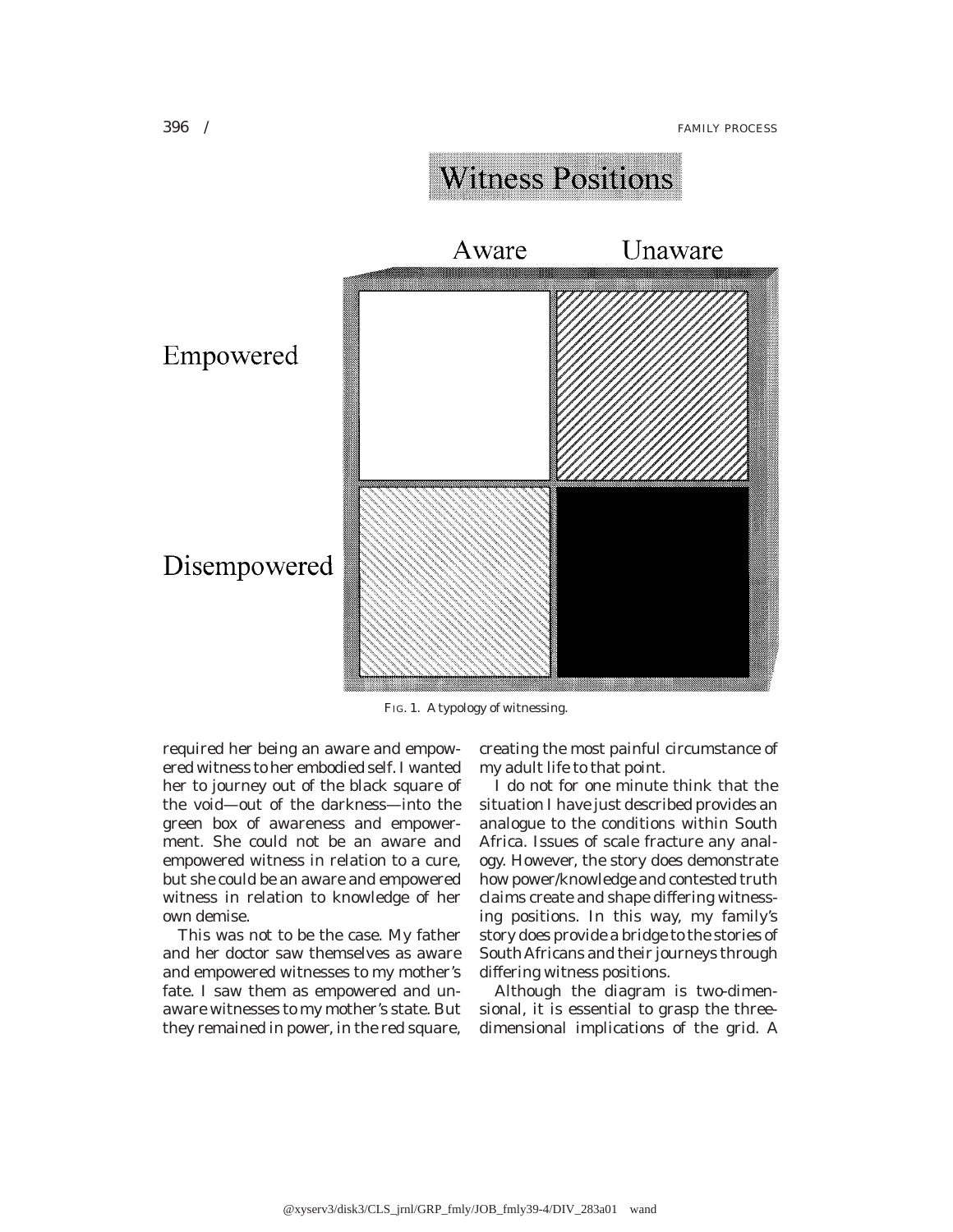

FIG. 1. A typology of witnessing.

required her being an aware and empowered witness to her embodied self. I wanted her to journey out of the black square of the void—out of the darkness—into the green box of awareness and empowerment. She could not be an aware and empowered witness in relation to a cure, but she could be an aware and empowered witness in relation to knowledge of her own demise.

This was not to be the case. My father and her doctor saw themselves as aware and empowered witnesses to my mother's fate. I saw them as empowered and unaware witnesses to my mother's state. But they remained in power, in the red square,

creating the most painful circumstance of my adult life to that point.

I do not for one minute think that the situation I have just described provides an analogue to the conditions within South Africa. Issues of scale fracture any analogy. However, the story does demonstrate how power/knowledge and contested truth claims create and shape differing witnessing positions. In this way, my family's story does provide a bridge to the stories of South Africans and their journeys through differing witness positions.

Although the diagram is two-dimensional, it is essential to grasp the threedimensional implications of the grid. A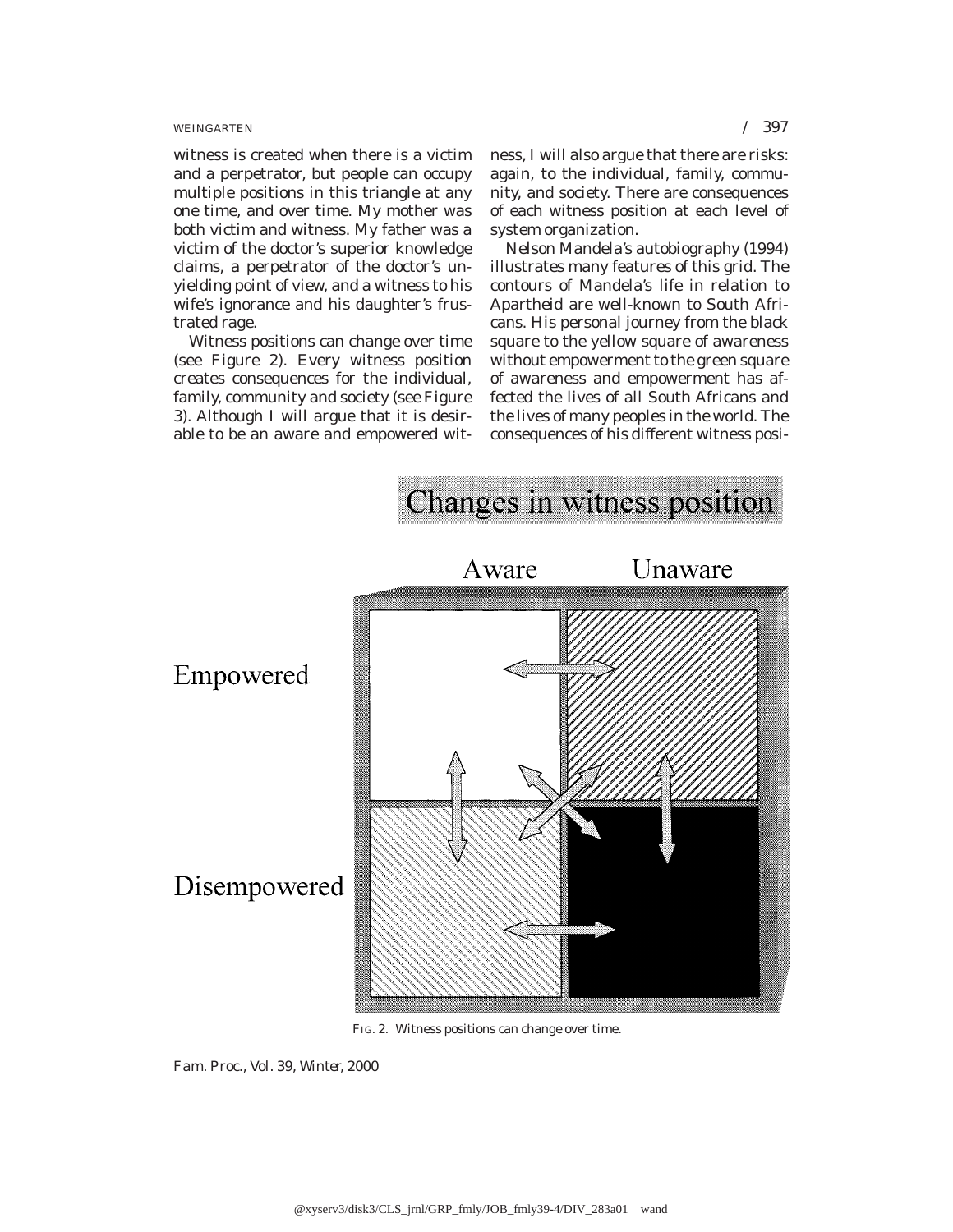witness is created when there is a victim and a perpetrator, but people can occupy multiple positions in this triangle at any one time, and over time. My mother was both victim and witness. My father was a victim of the doctor's superior knowledge claims, a perpetrator of the doctor's unyielding point of view, and a witness to his wife's ignorance and his daughter's frustrated rage.

Witness positions can change over time (see Figure 2). Every witness position creates consequences for the individual, family, community and society (see Figure 3). Although I will argue that it is desirable to be an aware and empowered witness, I will also argue that there are risks: again, to the individual, family, community, and society. There are consequences of each witness position at each level of system organization.

Nelson Mandela's autobiography (1994) illustrates many features of this grid. The contours of Mandela's life in relation to Apartheid are well-known to South Africans. His personal journey from the black square to the yellow square of awareness without empowerment to the green square of awareness and empowerment has affected the lives of all South Africans and the lives of many peoples in the world. The consequences of his different witness posi-



FIG. 2. Witness positions can change over time.

*Fam. Proc., Vol. 39, Winter, 2000*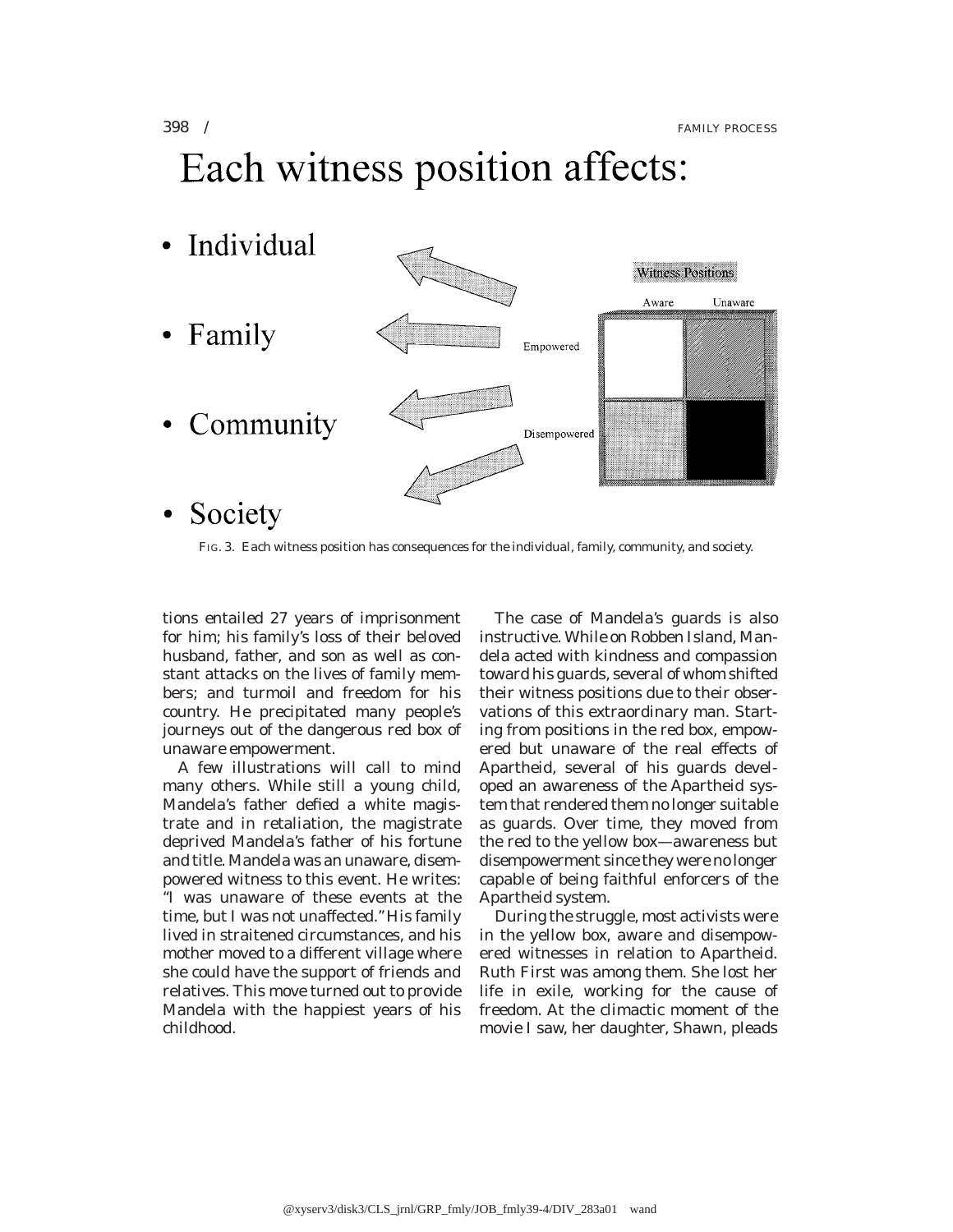# Each witness position affects:

Individual **Witness Positions** Unaware Aware • Family Empowered Community Disempowered Society

FIG. 3. Each witness position has consequences for the individual, family, community, and society.

tions entailed 27 years of imprisonment for him; his family's loss of their beloved husband, father, and son as well as constant attacks on the lives of family members; and turmoil and freedom for his country. He precipitated many people's journeys out of the dangerous red box of unaware empowerment.

A few illustrations will call to mind many others. While still a young child, Mandela's father defied a white magistrate and in retaliation, the magistrate deprived Mandela's father of his fortune and title. Mandela was an unaware, disempowered witness to this event. He writes: ''I was unaware of these events at the time, but I was not unaffected.'' His family lived in straitened circumstances, and his mother moved to a different village where she could have the support of friends and relatives. This move turned out to provide Mandela with the happiest years of his childhood.

The case of Mandela's guards is also instructive. While on Robben Island, Mandela acted with kindness and compassion toward his guards, several of whom shifted their witness positions due to their observations of this extraordinary man. Starting from positions in the red box, empowered but unaware of the real effects of Apartheid, several of his guards developed an awareness of the Apartheid system that rendered them no longer suitable as guards. Over time, they moved from the red to the yellow box—awareness but disempowerment since they were no longer capable of being faithful enforcers of the Apartheid system.

During the struggle, most activists were in the yellow box, aware and disempowered witnesses in relation to Apartheid. Ruth First was among them. She lost her life in exile, working for the cause of freedom. At the climactic moment of the movie I saw, her daughter, Shawn, pleads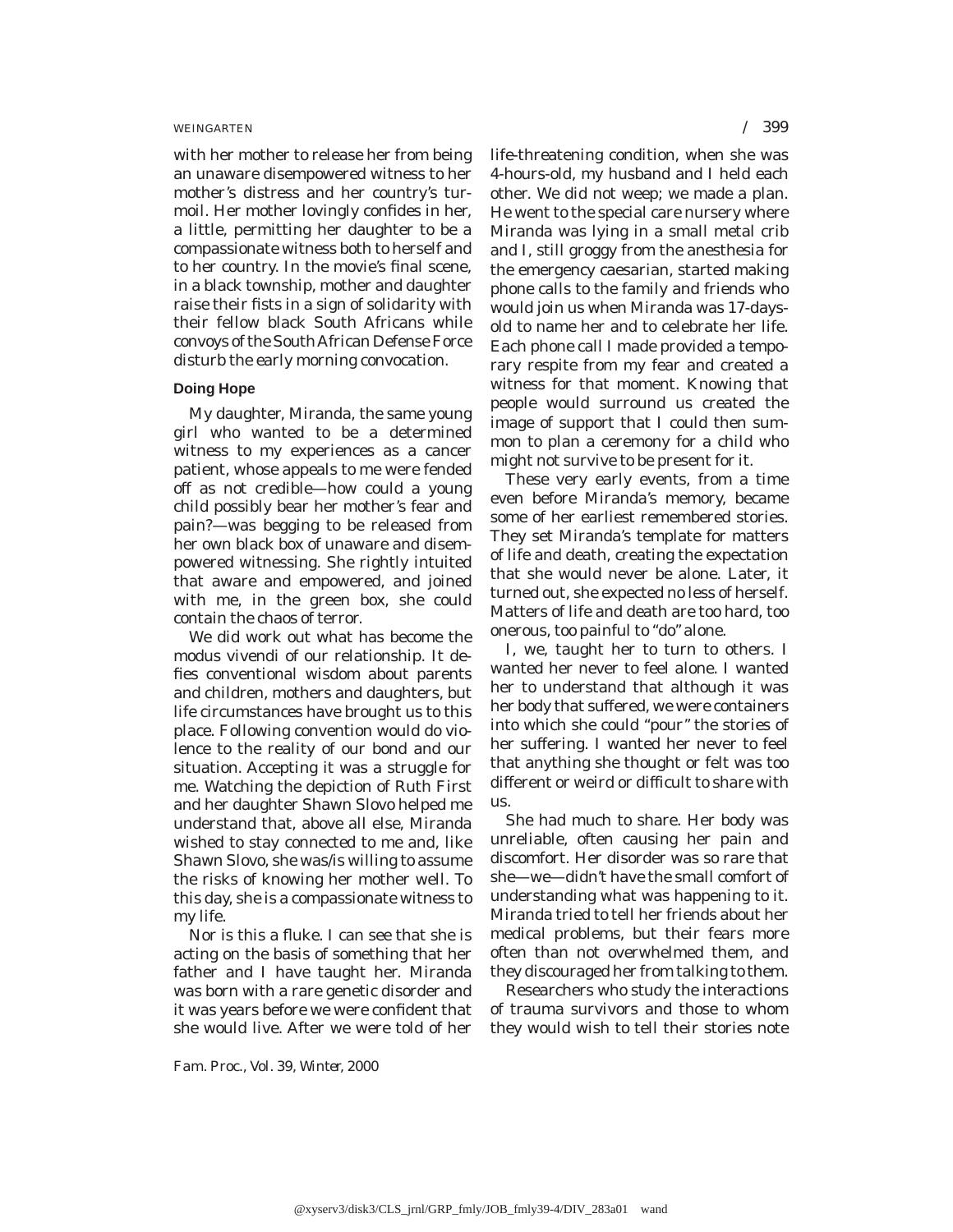with her mother to release her from being an unaware disempowered witness to her mother's distress and her country's turmoil. Her mother lovingly confides in her, a little, permitting her daughter to be a compassionate witness both to herself and to her country. In the movie's final scene, in a black township, mother and daughter raise their fists in a sign of solidarity with their fellow black South Africans while convoys of the SouthAfrican Defense Force disturb the early morning convocation.

## **Doing Hope**

My daughter, Miranda, the same young girl who wanted to be a determined witness to my experiences as a cancer patient, whose appeals to me were fended off as not credible—how could a young child possibly bear her mother's fear and pain?—was begging to be released from her own black box of unaware and disempowered witnessing. She rightly intuited that aware and empowered, and joined with me, in the green box, she could contain the chaos of terror.

We did work out what has become the modus vivendi of our relationship. It defies conventional wisdom about parents and children, mothers and daughters, but life circumstances have brought us to this place. Following convention would do violence to the reality of our bond and our situation. Accepting it was a struggle for me. Watching the depiction of Ruth First and her daughter Shawn Slovo helped me understand that, above all else, Miranda wished to stay connected to me and, like Shawn Slovo, she was/is willing to assume the risks of knowing her mother well. To this day, she is a compassionate witness to my life.

Nor is this a fluke. I can see that she is acting on the basis of something that her father and I have taught her. Miranda was born with a rare genetic disorder and it was years before we were confident that she would live. After we were told of her life-threatening condition, when she was 4-hours-old, my husband and I held each other. We did not weep; we made a plan. He went to the special care nursery where Miranda was lying in a small metal crib and I, still groggy from the anesthesia for the emergency caesarian, started making phone calls to the family and friends who would join us when Miranda was 17-daysold to name her and to celebrate her life. Each phone call I made provided a temporary respite from my fear and created a witness for that moment. Knowing that people would surround us created the image of support that I could then summon to plan a ceremony for a child who might not survive to be present for it.

These very early events, from a time even before Miranda's memory, became some of her earliest remembered stories. They set Miranda's template for matters of life and death, creating the expectation that she would never be alone. Later, it turned out, she expected no less of herself. Matters of life and death are too hard, too onerous, too painful to "do" alone.

I, we, taught her to turn to others. I wanted her never to feel alone. I wanted her to understand that although it was her body that suffered, we were containers into which she could ''pour'' the stories of her suffering. I wanted her never to feel that anything she thought or felt was too different or weird or difficult to share with us.

She had much to share. Her body was unreliable, often causing her pain and discomfort. Her disorder was so rare that she—we—didn't have the small comfort of understanding what was happening to it. Miranda tried to tell her friends about her medical problems, but their fears more often than not overwhelmed them, and they discouraged her from talking to them.

Researchers who study the interactions of trauma survivors and those to whom they would wish to tell their stories note

*Fam. Proc., Vol. 39, Winter, 2000*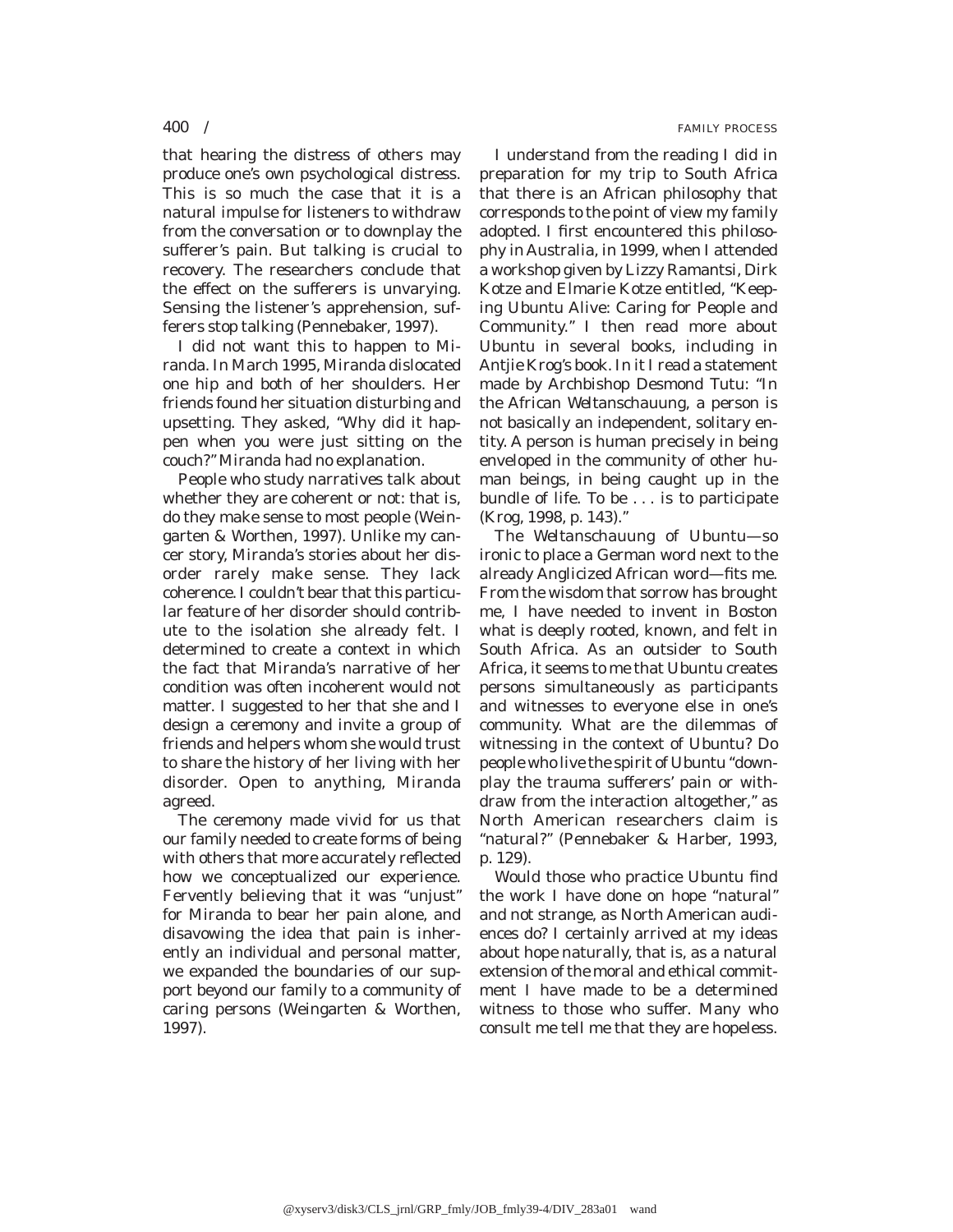that hearing the distress of others may produce one's own psychological distress. This is so much the case that it is a natural impulse for listeners to withdraw from the conversation or to downplay the sufferer's pain. But talking is crucial to recovery. The researchers conclude that the effect on the sufferers is unvarying. Sensing the listener's apprehension, sufferers stop talking (Pennebaker, 1997).

I did not want this to happen to Miranda. In March 1995, Miranda dislocated one hip and both of her shoulders. Her friends found her situation disturbing and upsetting. They asked, ''Why did it happen when you were just sitting on the couch?'' Miranda had no explanation.

People who study narratives talk about whether they are coherent or not: that is, do they make sense to most people (Weingarten & Worthen, 1997). Unlike my cancer story, Miranda's stories about her disorder rarely make sense. They lack coherence. I couldn't bear that this particular feature of her disorder should contribute to the isolation she already felt. I determined to create a context in which the fact that Miranda's narrative of her condition was often incoherent would not matter. I suggested to her that she and I design a ceremony and invite a group of friends and helpers whom she would trust to share the history of her living with her disorder. Open to anything, Miranda agreed.

The ceremony made vivid for us that our family needed to create forms of being with others that more accurately reflected how we conceptualized our experience. Fervently believing that it was ''unjust'' for Miranda to bear her pain alone, and disavowing the idea that pain is inherently an individual and personal matter, we expanded the boundaries of our support beyond our family to a community of caring persons (Weingarten & Worthen, 1997).

I understand from the reading I did in preparation for my trip to South Africa that there is an African philosophy that corresponds to the point of view my family adopted. I first encountered this philosophy in Australia, in 1999, when I attended a workshop given by Lizzy Ramantsi, Dirk Kotze and Elmarie Kotze entitled, ''Keeping Ubuntu Alive: Caring for People and Community.'' I then read more about Ubuntu in several books, including in Antjie Krog's book. In it I read a statement made by Archbishop Desmond Tutu: ''In the African *Weltanschauung,* a person is not basically an independent, solitary entity. A person is human precisely in being enveloped in the community of other human beings, in being caught up in the bundle of life. To be . . . is to participate (Krog, 1998, p. 143).''

The *Weltanschauung* of Ubuntu—so ironic to place a German word next to the already Anglicized African word—fits me. From the wisdom that sorrow has brought me, I have needed to invent in Boston what is deeply rooted, known, and felt in South Africa. As an outsider to South Africa, it seems to me that Ubuntu creates persons simultaneously as participants and witnesses to everyone else in one's community. What are the dilemmas of witnessing in the context of Ubuntu? Do people who live the spirit of Ubuntu ''downplay the trauma sufferers' pain or withdraw from the interaction altogether,'' as North American researchers claim is ''natural?'' (Pennebaker & Harber, 1993, p. 129).

Would those who practice Ubuntu find the work I have done on hope ''natural'' and not strange, as North American audiences do? I certainly arrived at my ideas about hope naturally, that is, as a natural extension of the moral and ethical commitment I have made to be a determined witness to those who suffer. Many who consult me tell me that they are hopeless.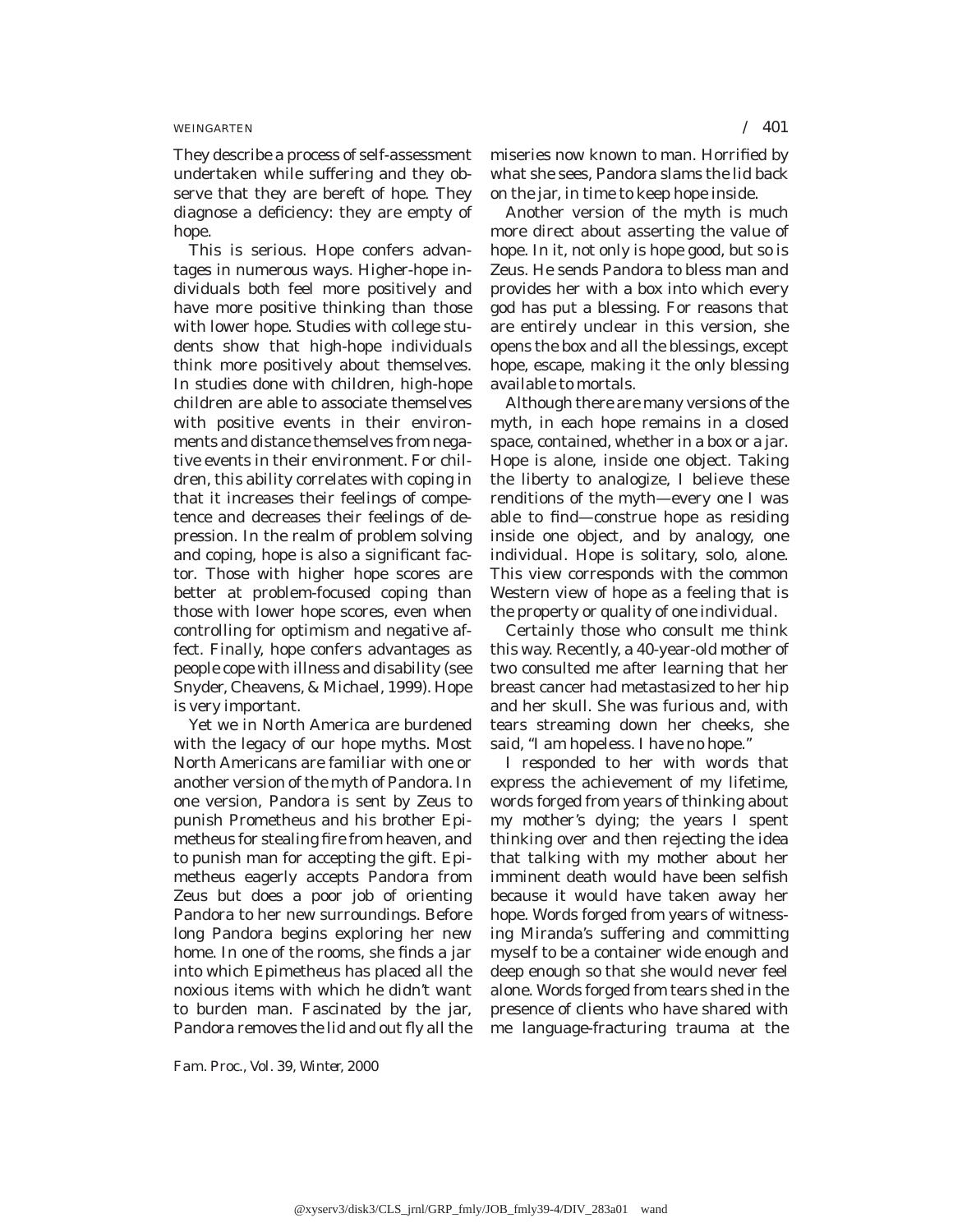They describe a process of self-assessment undertaken while suffering and they observe that they are bereft of hope. They diagnose a deficiency: they are empty of hope.

This is serious. Hope confers advantages in numerous ways. Higher-hope individuals both feel more positively and have more positive thinking than those with lower hope. Studies with college students show that high-hope individuals think more positively about themselves. In studies done with children, high-hope children are able to associate themselves with positive events in their environments and distance themselves from negative events in their environment. For children, this ability correlates with coping in that it increases their feelings of competence and decreases their feelings of depression. In the realm of problem solving and coping, hope is also a significant factor. Those with higher hope scores are better at problem-focused coping than those with lower hope scores, even when controlling for optimism and negative affect. Finally, hope confers advantages as people cope with illness and disability (see Snyder, Cheavens, & Michael, 1999). Hope is very important.

Yet we in North America are burdened with the legacy of our hope myths. Most North Americans are familiar with one or another version of the myth of Pandora. In one version, Pandora is sent by Zeus to punish Prometheus and his brother Epimetheus for stealing fire from heaven, and to punish man for accepting the gift. Epimetheus eagerly accepts Pandora from Zeus but does a poor job of orienting Pandora to her new surroundings. Before long Pandora begins exploring her new home. In one of the rooms, she finds a jar into which Epimetheus has placed all the noxious items with which he didn't want to burden man. Fascinated by the jar, Pandora removes the lid and out fly all the

*Fam. Proc., Vol. 39, Winter, 2000*

miseries now known to man. Horrified by what she sees, Pandora slams the lid back on the jar, in time to keep hope inside.

Another version of the myth is much more direct about asserting the value of hope. In it, not only is hope good, but so is Zeus. He sends Pandora to bless man and provides her with a box into which every god has put a blessing. For reasons that are entirely unclear in this version, she opens the box and all the blessings, except hope, escape, making it the only blessing available to mortals.

Although there are many versions of the myth, in each hope remains in a closed space, contained, whether in a box or a jar. Hope is alone, inside one object. Taking the liberty to analogize, I believe these renditions of the myth—every one *I* was able to find—construe hope as residing inside one object, and by analogy, one individual. Hope is solitary, solo, alone. This view corresponds with the common Western view of hope as a feeling that is the property or quality of one individual.

Certainly those who consult me think this way. Recently, a 40-year-old mother of two consulted me after learning that her breast cancer had metastasized to her hip and her skull. She was furious and, with tears streaming down her cheeks, she said, "I am hopeless. I have no hope."

I responded to her with words that express the achievement of my lifetime, words forged from years of thinking about my mother's dying; the years I spent thinking over and then rejecting the idea that talking with my mother about her imminent death would have been selfish because it would have taken away her hope. Words forged from years of witnessing Miranda's suffering and committing myself to be a container wide enough and deep enough so that she would never feel alone. Words forged from tears shed in the presence of clients who have shared with me language-fracturing trauma at the